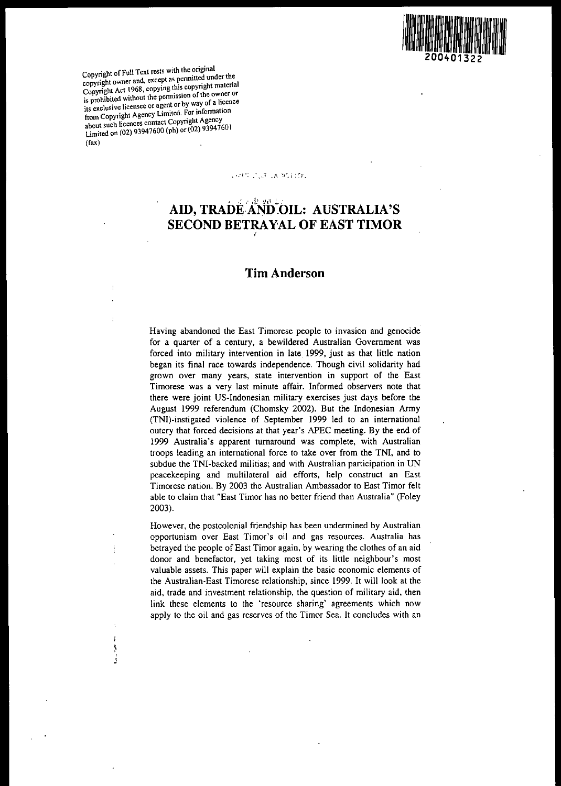

**C 'ghtofFull Text rests with the original** copyright owner and, except as permitted under the **C Pyn'ght Act 1968, copying this copynght matenal**  $\frac{1}{18}$  prohibited without the permission of the owner or its exclusive licensee or agent or by way of a licence **f Copyright Agency Limited. For mfonnatton** ~:t **such licences contact Copyright Agency** ~imiled on (02) 93947600 (ph) or (02) 93947601 (fax)

> l , J

J

ì

URIT CUE LA MITTOL

# $, s, \mathbb{A}$   $\mathbb{R}$   $\mathbb{R}$   $\mathbb{S}$ **AID, TRADEAND.OIL: AUSTRALIA'S SECOND BETRAY'AL OF EAST TIMOR** I

# **Tim Anderson**

**Having abandoned the East Timorese people to invasion and genocide** for a quarter of a century, a bewildered Australian Government was forced into military intervention in late. 1999, just as that little nation began its final race towards independence. Though civil solidarity had **grown over many years, state intervention in support of the East Timorese was a very last minute affair. Informed observers note that** there were joint US-Indonesian military exercises just days before the August 1999 referendum (Chomsky 2002). But the Indonesian Army (TNI)-instigated violence of September 1999 led to an international outcry that forced decisions at that year's APEC meeting. By the end of 1999 Australia's apparent turnaround was complete, with Australian troops leading an international force to take over from the TNI, and to subdue the TNI-backed militias; and with Australian participation in UN peacekeeping and multilateral aid efforts, help construct an East Timorese nation. By 2003 the Australian Ambassador to East Timor felt able to claim that "East Timor has no better friend than Australia" (Foley 2003).

However, the postcolonial friendship has been undermined by Australian **opportunism over East Timor's oil and gas resources. Australia has** betrayed the people of East Timor again, by wearing the clothes of an aid donor and benefactor, yet taking most of its little neighbour's most valuable assets. This paper will explain the basic economic elements of the Australian-East Timorese relationship, since 1999. It will look at the aid, trade and investment relationship, the question of military aid, then link these elements to the 'resource sharing' agreements which now apply to the oil and gas reserves of the Timor Sea. It concludes with an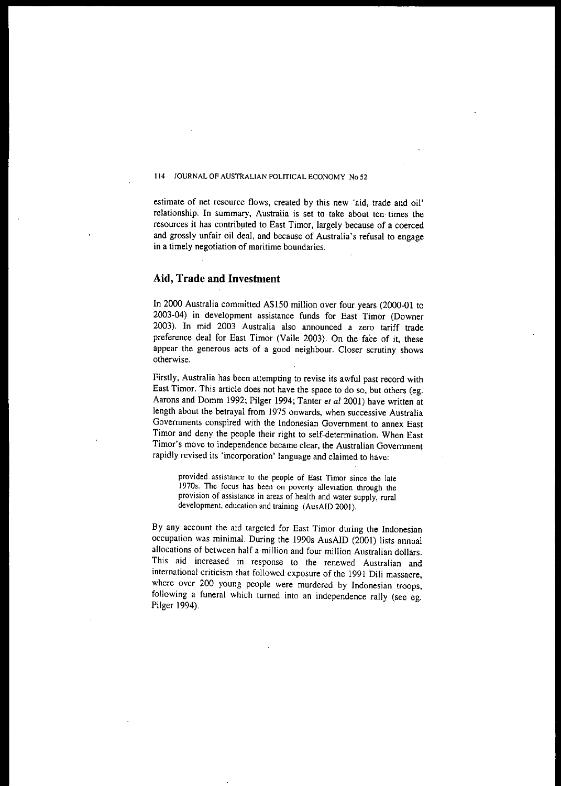estimale of net resource flows, created by this new 'aid, trade and oil' relationship. In summary, Australia is set to take about ten· times the resources it has contributed to East Timor, largely because of a coerced and grossly unfair oil deal, and because of Australia's refusal to engage **in a timely negotiation of maritime boundaries.**

# **Aid, Trade and Investment**

In 2000 Australia committed A\$150 million over four years (2000-01 to 2003-04) in development assistance funds for East Timor (Downer 2003). In mid 2003 Australia also announced a zero tariff trade preference deal for East Timor (Vaile 2003). On the face of it, these appear the generous acts of a good neighbour. Closer scrutiny shows **otherwise.**

Firstly, Australia has been attempting to revise its awful past record with East Timor. This article does not have the space to do so, but others (eg. Aarons and Domm 1992; Pilger 1994; Tanter *et al* 2001) have written at length about the betrayal from 1975 onwards, when successive Australia **Governments conspired with the Indonesian Government to annex East** Timor and deny the people their right to self-determination. When East **Timor's move to independence became clear, the Australian Government rapidly revised its 'incorporation' language and claimed to have:**

**provided assistance to the people of East Timer since the late 19705. The focus has been on poverty alleviation through the provision of assistance in areas of health and water supply, rural** development, education and training (AusAID 2001).

By any account the aid targeted for East Timor during the Indonesian occupation was minimal. During the 1990s AusAID (2001) lists annual allocations of between half a million and four million Australian dollars. This aid increased in response to the renewed Australian and international criticism that followed exposure of the 1991 Dili massacre, where over 200 young people were murdered by Indonesian troops, following a funeral which turned into an independence rally (see eg. Pilger 1994).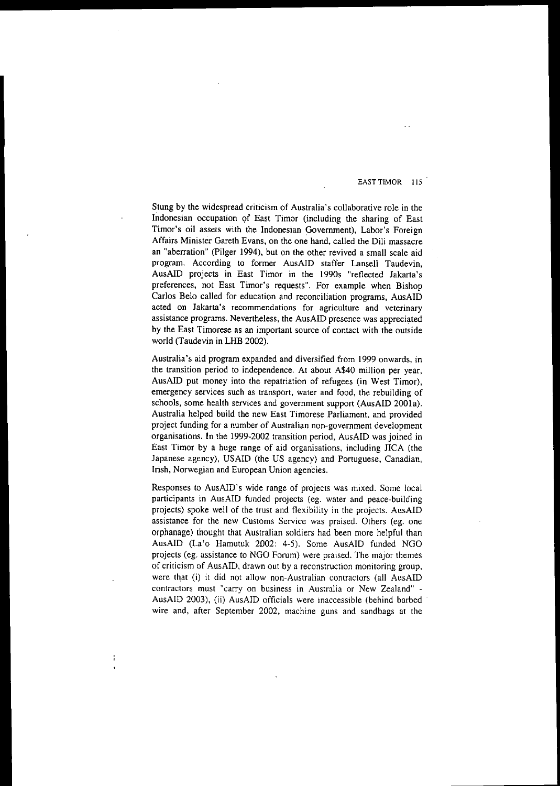Stung by the widespread criticism of Australia's collaborative role in the Indonesian occupation qf East Timor (including the sharing of East Timor's oil assets with the Indonesian Government), Labor's Foreign Affairs Minister Gareth Evans, on the one hand, called the Dili massacre an "aberration" (Pilger 1994), but on the other revived a small scale aid program, According to former AusAID staffer Lansell Taudevin, AusAID projects in East Timor in the 1990s "reflected Jakarta's preferences, not East Timor's requests", For example when Bishop Carlos Belo called for education and reconciliation programs, AusAID **acted on Jakarta's recommendations for agriculture and veterinary** assistance programs, Nevertheless, the AusAID presence was appreciated by the East Timorese as an important source of contact with the outside world (Taudevin in LHB 2002).

Australia's aid program expanded and diversified from 1999 onwards, in the transition period to independence. At about A\$40 million per year, AusAID put money into the repatriation of refugees (in West Timor), **emergency services such as transport, water and food, the rebuilding of** schools, some health services and government support (AusAID 200Ia). Australia helped build the new East Timorese Parliament, and provided project funding for a number of Australian non-government development organisations. In the 1999-2002 transition period, AusAID was joined in East Timor by a huge range of aid organisations, including JICA (the Japanese agency), USAID (the US agency) and Portuguese, Canadian, Irish, Norwegian and European Union agencies.

Responses to AusAID's wide range of projects was mixed. Some local participants in AusAID funded projects (eg. water and peace-building projects) spoke well of the trust and flexibility in the projects. AusAID assistance for the new Customs Service was praised. Others (eg. one orphanage) thought that Australian soldiers had been more helpful than AusAID (La'o Hamutuk 2002: 4-5). Some AusAID funded NGO projects (eg. assistance to NGO Forum) were praised. The major themes of criticism of AusAID, drawn out by a reconstruction monitoring group, were that (i) it did not allow non-Australian contractors (all AusAID **contractors must "carry on business in Australia or New Zealand"** - AusAID 2003), (ii) AusAID officials were inaccessible (behind barbed wire and, after September 2002, machine guns and sandbags at the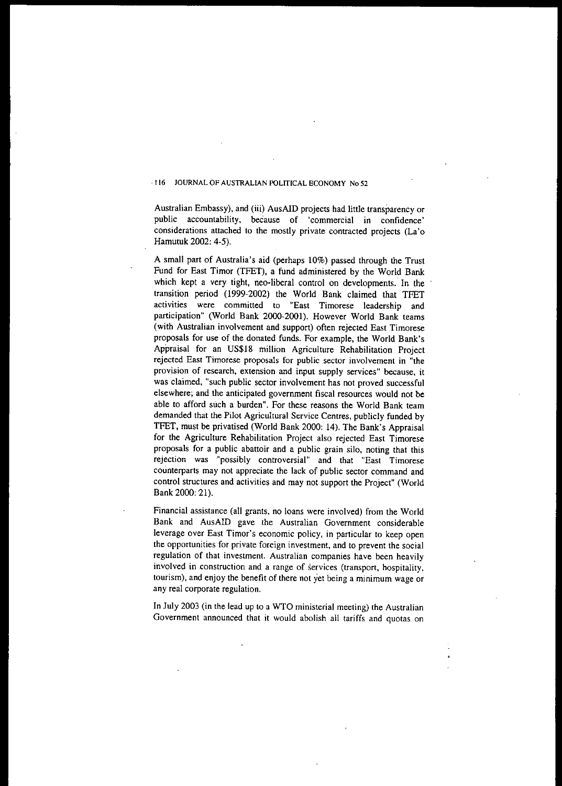Australian Embassy), and (iii) AusAID projects had little transparency or **public accountability, beCause of 'commercial in confidence'** considerations attached to the mostly private contracted projects (La'o Hamutuk 2002: 4-5).

A small part of Australia's aid (perhaps 10%) passed through the Trust Fund for East Timor (TFET), a fund administered by the World Bank which kept a very tight, neo-liberal control on developments. In the transition period (1999-2002) the World Bank claimed that TFET **activities were committed to "East Timorese leadership and** participation" (World Bank 2000-2001). However World Bank teams (with Australian involvement and support) often rejected East Timorese proposals for use of the donated funds. For example, the World Bank's Appraisal for an US\$18 million Agriculture Rehabilitation Project **rejected East Timorese proposals for public sector involvement in "the provision of research, extension and input supply services" because, it** was claimed, "such public sector involvement has not proved successful elsewhere; and the anticipated government fiscal resources would not **be** able to afford such a burden". For these reasons the World Bank team demanded that the Pilot Agricultural Service Centres, publicly funded by TFET, must be privatised (World Bank 2000: 14). The Bank's Appraisal for the Agriculture Rehabilitation Project also rejected East Timorese proposals for a public abattoir and a public grain silo, noting that this **rejection was '''possibly controversial" and that "East Timorese** counterparts may not appreciate the lack of public sector command and control structures and activities and may not support the Project" (World Bank 2000: 21).

Financial assistance (all grants, no loans were involved) from the World Bank and AusAID gave the Australian Government considerable leverage over East Timor's economic policy, in particular to keep open **the opportunities for private foreign investment, and to prevent the social regulation of that investment. Australian companies have been heavily involved in .construction and a range of services (transport, hospitality,** tourism), and enjoy the benefit of there not yet being a minimum wage or any real corporate regulation.

In July 2003 (in the lead up to a WTO ministerial meeting) the Australian Government announced that it would abolish all tariffs and quotas on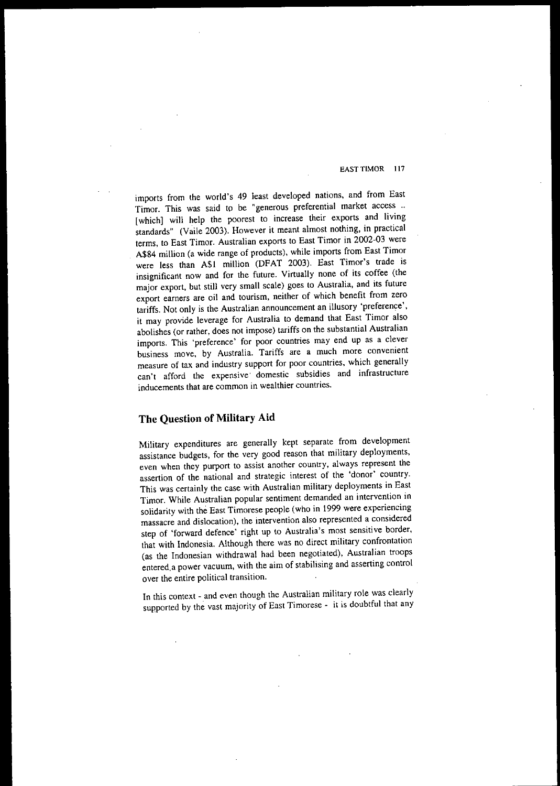imports from the world's 49 least developed nations, and from East Timor. This was said to be "generous preferential market access .. [which] will help the poorest to increase their exports and living standards" (Vaile 2003). However it meant almost nothing, in practical terms, to East Timor. Australian exports to East Timor in 2002-03 were A\$84 million (a wide range of products), while imports from East Timor were less than A\$I million (DFAT 2003). East Timor's trade is insignificant now and for the future. Virtually none of its coffee (the major export, but still very small scale) goes to Australia, and its future **export earners are oil and tourism, neither of which benefit from zero** tariffs. Not only is the Australian announcement an illusory 'preference', it may provide leverage for Australia to demand that East Timor also abolishes (or rather, does not impose) tariffs on the substantial Australian **imports. This 'preference' for poor countries may end up as a clever business move, by Australia. Tariffs are a much more convenient measure of tax and industry support for poor countries, which generally can't afford the expensive' domestic subsidies and infrastructure inducements that are common in wealthier countries.**

# **The Question of Military Aid**

Military expenditures are generally kept separate from development assistance budgets, for the very good reason that military deployments, **even when they purport to assist another country, always represent the assertion of the national and strategic interest of the 'donor' country.** This was certainly the case with Australian military deployments in East **Timor. While Australian popular sentiment demanded an intervention in** solidarity with the East Timorese people (who in 1999 were experiencing **massacre and dislocation), the intervention also represented a considered** step of 'forward defence' right up to Australia's most sensitive border, that with Indonesia. Although there was no direct military confrontation (as the Indonesian withdrawal had been negotiated), Australian troops entered, a power vacuum, with the aim of stabilising and asserting control **over the entire political transition.**

In this context - and even though the Australian military role was clearly supported by the vast majority of East Timorese - it is doubtful that any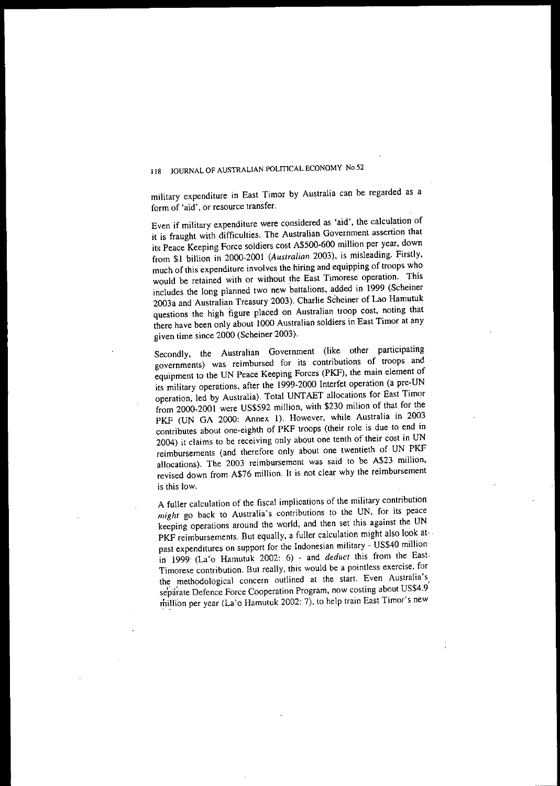military expenditure in East Timor by Australia can be regarded as a **form of 'aid', or resource transfer.**

Even if military expenditure were considered as 'aid', the calculation of it is fraught with difficulties. The Australian Government assertion that its Peace Keeping Force soldiers cost A\$500-600 million per year, down from \$1 billion in 2000-2001 (Australian 2003), is misleading. Firstly, much of this expenditure involves the hiring and equipping of troops who would be retained with or without the East Timorese operation. This includes the long planned two new battalions, added in 1999 (Scheiner 2003a and Australian Treasury 2003). Charlie Scheiner of Lao Hamutuk questions the high figure placed on Australian troop cost, noting that there have been only about 1000 Australian soldiers in East Timor at any given time since 2000 (Scheiner 2003).

Secondly, the Australian Government (like other participating **governments) was reimbursed for its contributions of troops and** equipment to the UN Peace Keeping Forces (PKF), the main element of its military operations, after the 1999-2000 Interfet operation (a pre-UN operation, led by Australia). Total UNTAET allocations for East Timor from 2000-2001 were US\$592 million, with \$230 milion of that for the PKF (UN GA 2000: Annex I). However, while Australia in 2003 contributes about one-eighth of PKF troops (their role is due to end in 2004) it claims to be receiving only about one tenth of their cost in UN reimbursements (and therefore only about one twentieth of UN PKF allocations). The 2003 reimbursement was said to be A\$23 million, revised down from A\$76 million. It is not clear why the reimbursement **is this low.**

A fuller calculation of the fiscal implications of the military contribution *might* go back to Australia's contributions to the UN, for its peace keeping operations around the world, and then set this against the UN PKF reimbursements. But equally, a fuller calculation might also look at past expenditures on support for the Indonesian military - US\$40 million in 1999· (La'o Hamutuk 2002: 6) - and *deduct* this from the East· **Timorese contribution. But really, this would be a pointless exercise, for** separate Defence Force Cooperation Program, now costing about US\$4.9 million per year (La'o Hamutuk 2002: 7), to help train East Timor's new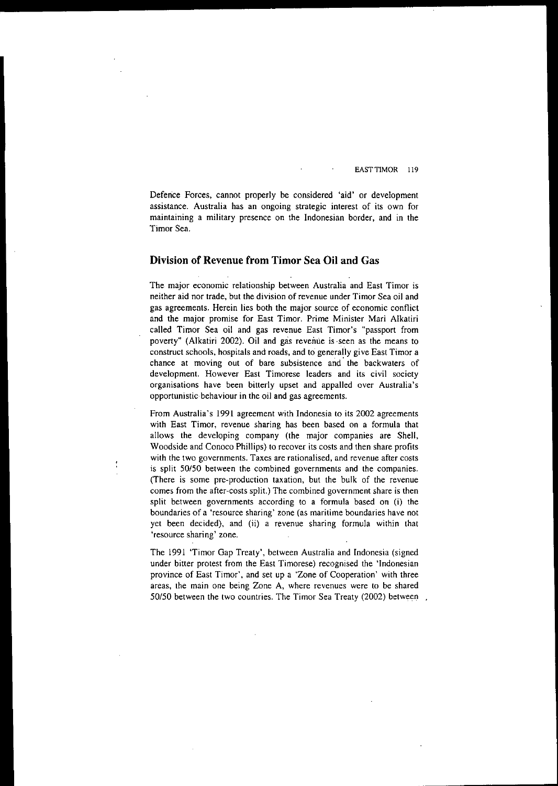Defence Forces, cannot properly be considered 'aid' or development **assistance. Australia has an ongoing strategic interest of its own for** maintaining a military presence on the Indonesian border, and in the Timor Sea.

# **Division of Revenue from Timor** Sea **Oil and** Gas

**The major economic relationship between Australia and East Timor is** neither aid nor trade, but the division of revenue under Timor Sea oil and **gas agreements. Herein lies both the major source of economic conflict** and the major promise for East Timor. Prime Minister Mari Alkatiri called Timor Sea oil and gas revenue East Timor's "passport from poverty" (Alkatiri 2002). Oil and gas revenue is -seen as the means to construct schools, hospitals and roads, and to generally give East Timor a **chance at moving out of bare subsistence and' the backwaters of development. However East Timorese leaders and its civil society organisations have been bitterly upset and appalled over Australia's opportunistic** behaviour in the oil and gas agreements.

**From Australia's 1991 agreement with Indonesia to its 2002 agreements with East Timor, revenue sharing has been based on a formula that** allows the developing company (the major companies are Shell, Woodside and Conoco Phillips) to recover its costs and then share profits **with the two governments. Taxes are rationalised, and revenue after costs is split 50150 between the combined governments and the companies.** (There is some pre-production taxation, but the bulk of the revenue **comes from the after-costs split.) The combined government share is then** split between governments according to a formula based on (i) the **boundaries of a 'resource sharing' zone (as maritime boundaries have not** yet been decided), and (ii) a revenue sharing formula within that **'resource sharing' zone.**

The 1991 'Timor Oap Treaty', between Australia and Indonesia (signed under bitter protest from the East Timorese) recognised the 'Indonesian province of East Timor', and set up a 'Zone of Cooperation' with three **areas, the main one being Zone A, where revenues were to be shared** *50/50* between the two countries. The Timor Sea Treaty (2002) between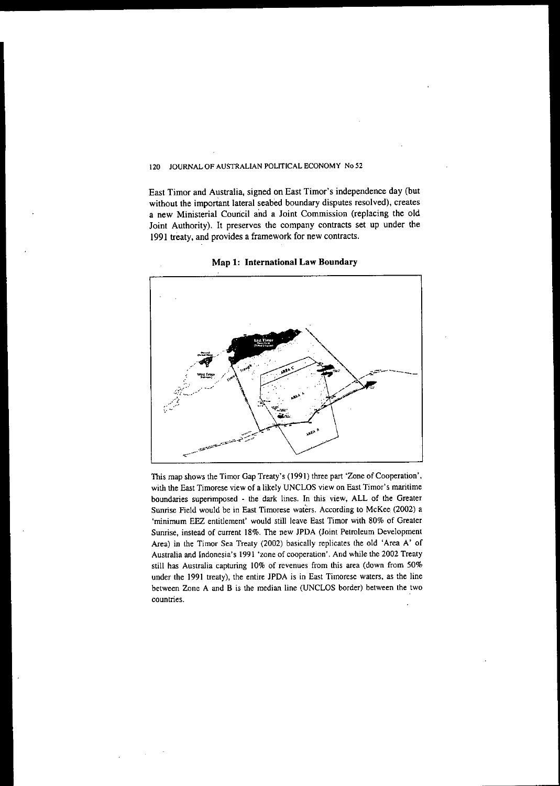East Timor and Australia, signed on East Timor's independence day (but without the important lateral seabed boundary disputes resolved), creates a new Ministerial Council and a Joint Commission (replacing the old Joint Authority). It preserves the company contracts set up under the 1991 treaty, and provides a framework for new contracts.



Map 1: International Law Boundary

This map shows the Timor Gap Treaty's (1991) three part 'Zone of Cooperation', **with the East Timorese view of a likely UNCLOS view on East Timer's maritime boundaries superimposed - the dark lines. In this view, ALL of the Greater Sunrise Field would be in East Timorese waters. According to McKee. (2002) a 'minimum EEZ entitlement' would still leave East Timer with 80% of Greater Sunrise, instead of current 18%. The new JPDA (Joint Petroleum Development** Area) in the Timor Sea Treaty (2002) basically replicates the old 'Area A' of **Australia and Indonesia's 1991 'zone** of cooperation'. **And while the 2002 Treaty still has Australia capturing 10% of revenues from this area (down from 50% under the 1991 treaty), the entire JPDA is in East Timorese waters, as the line between Zone A and B is the median line (UNCLOS border) between the two countries.**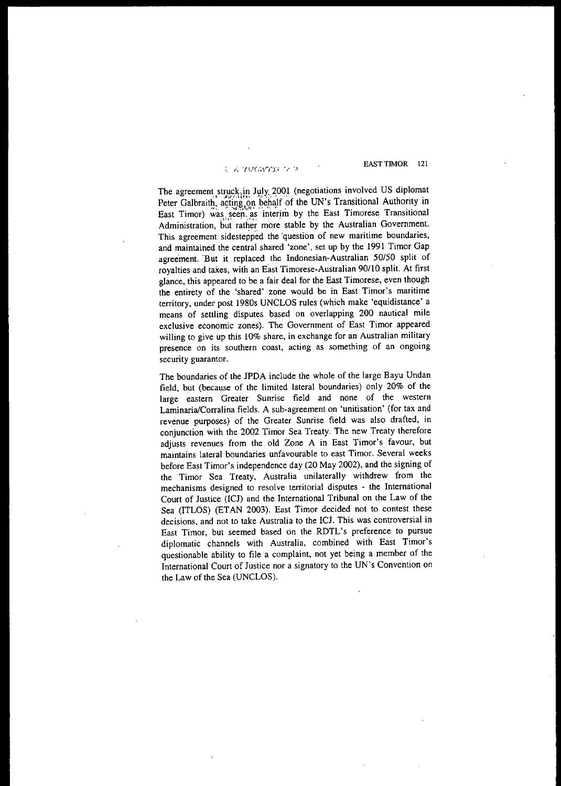# L'E TROMON E I

EAST TIMOR 121

The agreement struck,in July, 2001 (negotiations involved US diplomat Peter Galbraith, acting on behalf of the UN's Transitional Authority in East Timor) was. seen. as interim by the East Timorese Transitional Administration, but rather more stable by the Australian Government. This agreement sidestepped the 'question of new maritime boundaries, and maintained the central shared 'zone', set up by the 1991 Timor Gap agreement. 'But it replaced the Indonesian-Australian 50150 split of royalties and taxes, with an East Timorese-Australian 90/10 split. At first glance, this appeared to be a fair deal for the East Timorese, even though the entirety of the 'shared' zone would be in East Timor's maritime territory, under post 1980s UNCLOS rules (which make 'equidistance' a means of settling disputes based on overlapping 200 nautical mile exclusive economic zones). The Government of East Timor appeared **willing to give up this 10% share, in exchange for an Australian military presence on its southern coast, acting as something of an ongoing security guarantor.**

The boundaries of the JPDA include the whole of the large Bayu Undan field, but (because of the limited lateral boundaries) only 20% of the **large eastern Greater Sunrise field and none of the western** LaminarialCorralina fields. A sub-agreement on 'unitisation' (for tax and revenue purposes) of the Greater Sumise field was also drafted, in conjunction with the 2002 Timor Sea Treaty. The new Treaty therefore adjusts revenues from the old Zone A in East Timor's favour, but **maintains lateral boundaries unfavourable to east Timor. Several weeks** before East Timor's independence day (20 May 2002), and the signing of the Timor Sea Treaty, Australia unilaterally withdrew from the **mechanisms designed to resorve territorial disputes - the International** Court of Justice (ICJ) and the International Tribunal on the Law of the Sea (ITLOS) (ETAN 2003). East Timor decided not to contest these decisions, and not to take Australia to the ICJ. This was controversial in East Timor, but seemed based on the RDTL's preference to pursue diplomatic channels with Australia, combined with East Timor's questionable ability to file a complaint, not yet being a member of the International Court of Justice nor a signatory to the UN's Convention on the Law of the Sea (UNCLOS).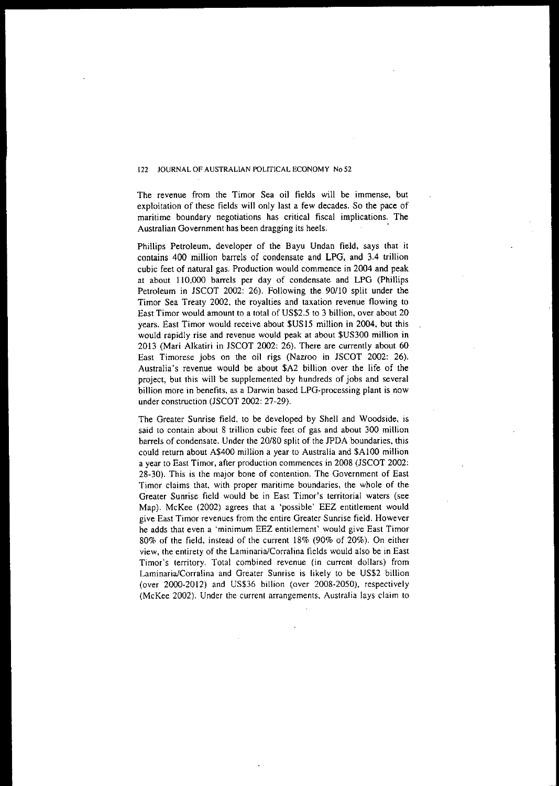The revenue from the Timor Sea oil fields will be immense, but exploitation of these fields will only last a few decades. So the pace of maritime boundary negotiations has critical fiscal implications. The **Australian Government has been dragging its heels.**

Phillips Petroleum, developer of the Bayu Undan field, says that it contains 400 million barrels of condensate and LPG, and 3.4 trillion cubic feet of natural gas. Production would commence in 2004 and peak at about 110,000 barrels per day of condensate and LPG (Phillips Petroleum in JSCOT 2002: 26). Following the 90/10 split under the Timor Sea Treaty 2002. the royalties and taxation revenue flowing to East Timor would amount to a total of US\$2.5 to 3 billion, over about 20 years. East Timor would receive about \$US15 million in 2004, but this would rapidly rise and revenue would peak at about \$US300 million in 2013 (Mari Alkatiri in JSCOT 2002: 26). There are currently about 60 East Timorese jobs on the oil rigs (Nazroo in JSCOT 2002: 26). Australia's revenue would be about \$A2 billion over the life of the project, but this will be supplemented by hundreds of jobs and several billion more in benefits, as a Darwin based LPG-processing plant is now under construction (JSCOT 2002: 27-29).

The Greater Sunrise field, to be developed by Shell and Woodside, is **said to contain about 8 trillion cubic feet.of gas and about 300 million** barrels of condensate, Under the 20/80 split of the JPDA boundaries, this could return about A\$400 million a year to Australia and \$A100 million a year to East Timor, after production commences in 2008 (JSCOT 2002: 28-30). This is the major bone of contention. The Government of East **Timor claims that, with proper maritime boundaries, the whole of the** Greater Sunrise field would be in East Timor's territorial waters (see Map). McKee (2002) agrees that a 'possible' EEZ entitlement would **give East Timor revenues from the entire Greater Sunrise field. However he adds that even a 'minimum EEZ entitlement' would give East Timor** 80% of the field, instead of the current 18% (90% of 20%). On either **view. the entirety of the Larninaria/Corralina fields would also be in East Timor's territory. Total combined revenue (in current dollars) from** Laminaria/Corralina and Greater Sunrise is likely to be US\$2 billion (over 2000-2012) and US\$36 billion (over 2008-2050), respectively (McKee 2002). Under the current arrangements, Australia lays claim to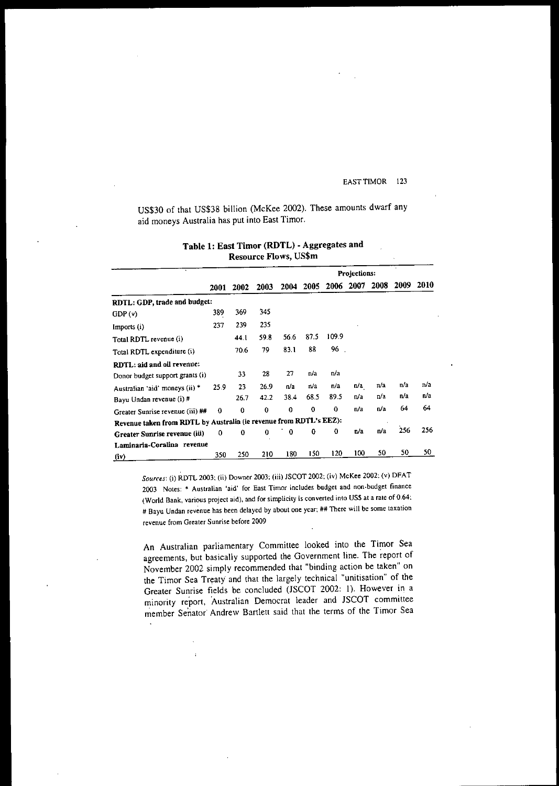US\$30 of that US\$38 billion (McKee 2002). These amounts dwarf any aid moneys Australia has put into East Timor.

| <b>Resource Flows, US\$m</b>                                       |      |          |             |          |              |        |      |      |      |      |
|--------------------------------------------------------------------|------|----------|-------------|----------|--------------|--------|------|------|------|------|
|                                                                    |      |          |             |          | Projections: |        |      |      |      |      |
|                                                                    | 2001 | 2002     | 2003        | 2004     | 2005         | 2006   | 2007 | 2008 | 2009 | 2010 |
| RDTL: GDP, trade and budget:                                       |      |          |             |          |              |        |      |      |      |      |
| GDP(v)                                                             | 389  | 369      | 345         |          |              |        |      |      |      |      |
| Imports (i)                                                        | 237  | 239      | 235         |          |              |        |      |      |      |      |
| Total RDTL revenue (i)                                             |      | 44.1     | 598         | 56.6     | 87.5         | 109.9  |      |      |      |      |
| Total RDTL expenditure (i)                                         |      | 70.6     | 79          | 83.1     | 88           | $96$ . |      |      |      |      |
| RDTL: aid and oil revenue:                                         |      |          |             |          |              |        |      |      |      |      |
| Donor budget support grants (i)                                    |      | 33       | 28          | 27       | n/a          | n/a    |      |      |      |      |
| Australian 'aid' moneys (ii) *                                     | 25.9 | 23       | 26.9        | n/a      | n/a          | n/a    | n/a  | п/а  | n/a  | n/a  |
| Bayu Undan revenue (i) #                                           |      | 26.7     | 42.2        | 38.4     | 68.5         | 89.5   | n/a  | n/a  | n/a  | n/a  |
| Greater Sunrise revenue (iii) ##                                   | 0    | $\bf{0}$ | $\mathbf 0$ | $\Omega$ | $\Omega$     | 0      | n/a  | n/a  | 64   | 64   |
| Revenue taken from RDTL by Australia (ie revenue from RDTL's EEZ): |      |          |             |          |              |        |      |      |      |      |
| Greater Sunrise revenue (iii)                                      | 0    | 0        | $\bf{0}$    | 0        | 0            | 0      | n a  | n/a  | 256  | 256  |
| Laminaria-Coralina revenue                                         |      |          |             |          |              |        |      |      |      |      |
| (iv)                                                               | 350  | 250      | 210         | 180      | 150          | 120    | 100  | 50   | 50   | 50   |

# Table 1: East Timor (RDTL) • Aggregates and

**SOllrCe.l': (i) RDTL 2003; (ii) Downer 2003; (iii) JSCOT 2002; (iv) McKee 2002; (v) DFAT 2003 Notes:" Australian 'aid' for East Timor includes budget and non-budget finance (World Bank, various project aid), and for simplicity is converted into US\$ at a rate of 0.64; # Bayu Undan revenue has been delayed by about one year; ## There will be some taxation revenue from Greater Sunrise before 2009**

An Australian parliamentary Committee looked into the Timor Sea agreements, but basically supported the Government line. The report of November 2002 simply recommended that "binding action be taken" on the Timor Sea Treaty and that the largely technical "unitisation" of the Greater Sunrise fields be concluded (JSCOT 2002: I). However in a minority report, Australian Democrat leader and JSCOT committee member Senator Andrew Bartlett said that the terms of the Timor Sea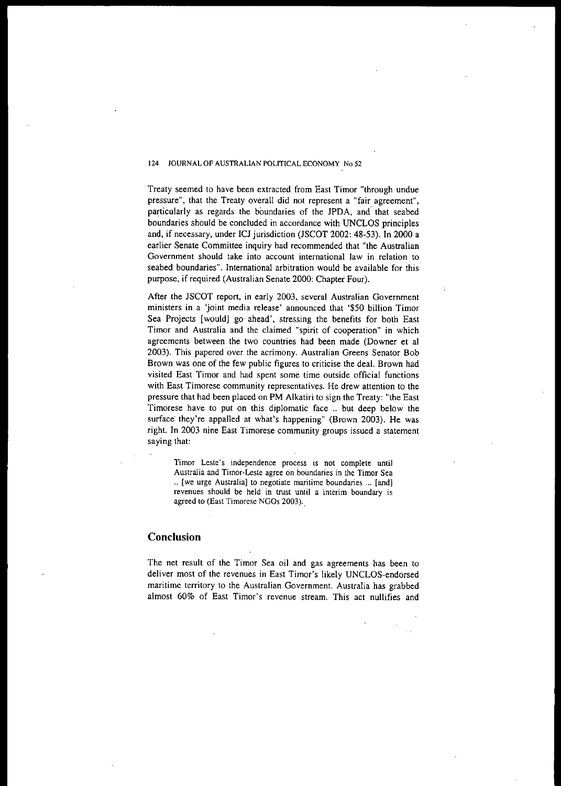Treaty seemed to have been extracted from East Timor "through undue pressure", that the Treaty overall did not represent a "fair agreement", particularly as regards the boundaries of the JPDA, and' that seabed boundaries should be concluded in accordance with UNCLOS principles and, if necessary, under ICJ jurisdiction (JSCOT 2002: 48-53). **In** 2000 a earlier Senate Committee inquiry had recommended that "the Australian **Government should take into account international law in relation to** seabed boundaries". International arbitration would be available for this purpose, if required (Australian Senate 2000: Chapter Four).

After the JSCOT report, in early 2003, several Australian Government ministers **in** a 'joint media release' announced that '\$50 billion Timor Sea Projects [would] go' ahead', stressing the benefits for both East **Timor and Australia and the claimed "spirit of cooperation" in which** agreements between the two countries had been made (Downer et al 2003). This papered over the acrimony. Australian Greens Senator Bob Brown was one of the few public figures to criticise the deal. Brown had **visited East Timor and had spent some time outside official functions with East Timorese community representatives. He drew attention to the** pressure that had been placed on PM Alkatiri to sign the Treaty: "the East Timorese have to put on this diplomatic face .. but deep below the surface they're appalled at what's happening" (Brown 2003). He was right. **In** 2003 nine East Timorese community groups issued a statement saying that:

**Timor Leste's independence process is not complete until Australia and** Timor~Leste **agree on boundaries in the Timor Sea .. [we urge Australia] to negotiate maritime boundaries ... [and] revenues should be held in trust until a interim boundary is** agreed to (East Timorese NGDs 2003)..

# **Conclusion**

The net result of the Timor Sea oil and gas agreements has been to deliver most of the revenues in East Timor's likely UNCLOS-endorsed maritime territory to the Australian Government. Australia has grabbed almost 60% of East Timor's revenue stream. This act nullifies and